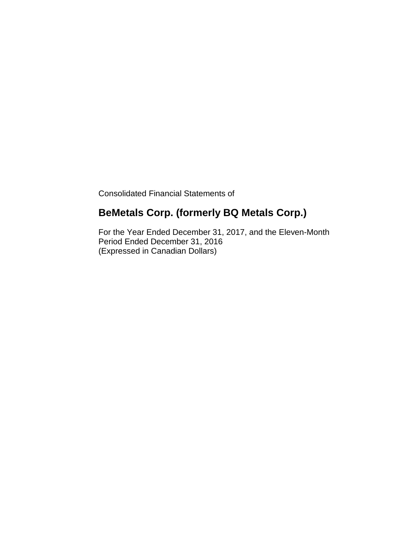Consolidated Financial Statements of

# **BeMetals Corp. (formerly BQ Metals Corp.)**

For the Year Ended December 31, 2017, and the Eleven-Month Period Ended December 31, 2016 (Expressed in Canadian Dollars)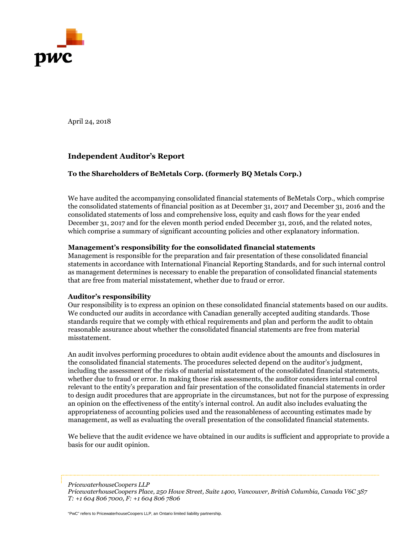

April 24, 2018

## **Independent Auditor's Report**

## **To the Shareholders of BeMetals Corp. (formerly BQ Metals Corp.)**

We have audited the accompanying consolidated financial statements of BeMetals Corp., which comprise the consolidated statements of financial position as at December 31, 2017 and December 31, 2016 and the consolidated statements of loss and comprehensive loss, equity and cash flows for the year ended December 31, 2017 and for the eleven month period ended December 31, 2016, and the related notes, which comprise a summary of significant accounting policies and other explanatory information.

## **Management's responsibility for the consolidated financial statements**

Management is responsible for the preparation and fair presentation of these consolidated financial statements in accordance with International Financial Reporting Standards, and for such internal control as management determines is necessary to enable the preparation of consolidated financial statements that are free from material misstatement, whether due to fraud or error.

## **Auditor's responsibility**

Our responsibility is to express an opinion on these consolidated financial statements based on our audits. We conducted our audits in accordance with Canadian generally accepted auditing standards. Those standards require that we comply with ethical requirements and plan and perform the audit to obtain reasonable assurance about whether the consolidated financial statements are free from material misstatement.

An audit involves performing procedures to obtain audit evidence about the amounts and disclosures in the consolidated financial statements. The procedures selected depend on the auditor's judgment, including the assessment of the risks of material misstatement of the consolidated financial statements, whether due to fraud or error. In making those risk assessments, the auditor considers internal control relevant to the entity's preparation and fair presentation of the consolidated financial statements in order to design audit procedures that are appropriate in the circumstances, but not for the purpose of expressing an opinion on the effectiveness of the entity's internal control. An audit also includes evaluating the appropriateness of accounting policies used and the reasonableness of accounting estimates made by management, as well as evaluating the overall presentation of the consolidated financial statements.

We believe that the audit evidence we have obtained in our audits is sufficient and appropriate to provide a basis for our audit opinion.

*PricewaterhouseCoopers LLP*

"PwC" refers to PricewaterhouseCoopers LLP, an Ontario limited liability partnership.

*PricewaterhouseCoopers Place, 250 Howe Street, Suite 1400, Vancouver, British Columbia, Canada V6C 3S7 T: +1 604 806 7000, F: +1 604 806 7806*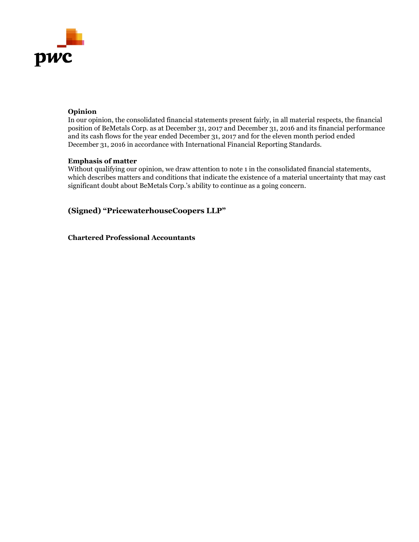

## **Opinion**

In our opinion, the consolidated financial statements present fairly, in all material respects, the financial position of BeMetals Corp. as at December 31, 2017 and December 31, 2016 and its financial performance and its cash flows for the year ended December 31, 2017 and for the eleven month period ended December 31, 2016 in accordance with International Financial Reporting Standards.

## **Emphasis of matter**

Without qualifying our opinion, we draw attention to note 1 in the consolidated financial statements, which describes matters and conditions that indicate the existence of a material uncertainty that may cast significant doubt about BeMetals Corp.'s ability to continue as a going concern.

**(Signed) "PricewaterhouseCoopers LLP"** 

**Chartered Professional Accountants**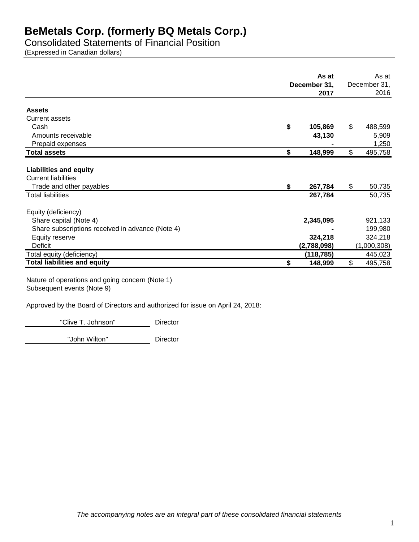Consolidated Statements of Financial Position

(Expressed in Canadian dollars)

|                                                  | As at<br>December 31,<br>2017 |             | As at<br>December 31,<br>2016 |
|--------------------------------------------------|-------------------------------|-------------|-------------------------------|
| <b>Assets</b>                                    |                               |             |                               |
| <b>Current assets</b>                            |                               |             |                               |
| Cash                                             | \$                            | 105,869     | \$<br>488,599                 |
| Amounts receivable                               |                               | 43,130      | 5,909                         |
| Prepaid expenses                                 |                               |             | 1,250                         |
| <b>Total assets</b>                              | \$                            | 148,999     | \$<br>495,758                 |
|                                                  |                               |             |                               |
| <b>Liabilities and equity</b>                    |                               |             |                               |
| <b>Current liabilities</b>                       |                               |             |                               |
| Trade and other payables                         | \$                            | 267,784     | \$<br>50,735                  |
| <b>Total liabilities</b>                         |                               | 267,784     | 50,735                        |
| Equity (deficiency)                              |                               |             |                               |
| Share capital (Note 4)                           |                               | 2,345,095   | 921,133                       |
| Share subscriptions received in advance (Note 4) |                               |             | 199,980                       |
| Equity reserve                                   |                               | 324,218     | 324,218                       |
| Deficit                                          |                               | (2,788,098) | (1,000,308)                   |
| Total equity (deficiency)                        |                               | (118, 785)  | 445,023                       |
| <b>Total liabilities and equity</b>              | \$                            | 148,999     | \$<br>495,758                 |

Nature of operations and going concern (Note 1) Subsequent events (Note 9)

Approved by the Board of Directors and authorized for issue on April 24, 2018:

"Clive T. Johnson" Director

"John Wilton" **Director**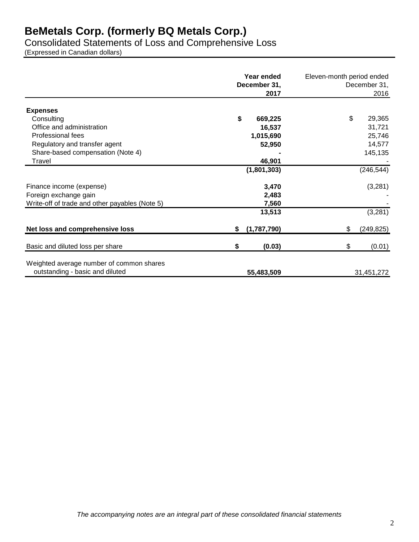Consolidated Statements of Loss and Comprehensive Loss

(Expressed in Canadian dollars)

|                                                                             | Year ended<br>December 31,<br>2017 | Eleven-month period ended<br>December 31,<br>2016 |
|-----------------------------------------------------------------------------|------------------------------------|---------------------------------------------------|
| <b>Expenses</b>                                                             |                                    |                                                   |
| Consulting                                                                  | \$<br>669,225                      | \$<br>29,365                                      |
| Office and administration                                                   | 16,537                             | 31,721                                            |
| Professional fees                                                           | 1,015,690                          | 25,746                                            |
| Regulatory and transfer agent                                               | 52,950                             | 14,577                                            |
| Share-based compensation (Note 4)                                           |                                    | 145,135                                           |
| Travel                                                                      | 46,901                             |                                                   |
|                                                                             | (1,801,303)                        | (246, 544)                                        |
| Finance income (expense)                                                    | 3,470                              | (3,281)                                           |
| Foreign exchange gain                                                       | 2,483                              |                                                   |
| Write-off of trade and other payables (Note 5)                              | 7,560                              |                                                   |
|                                                                             | 13,513                             | (3, 281)                                          |
| Net loss and comprehensive loss                                             | (1,787,790)<br>\$                  | \$<br>(249, 825)                                  |
| Basic and diluted loss per share                                            | (0.03)<br>S                        | \$<br>(0.01)                                      |
| Weighted average number of common shares<br>outstanding - basic and diluted | 55,483,509                         | 31,451,272                                        |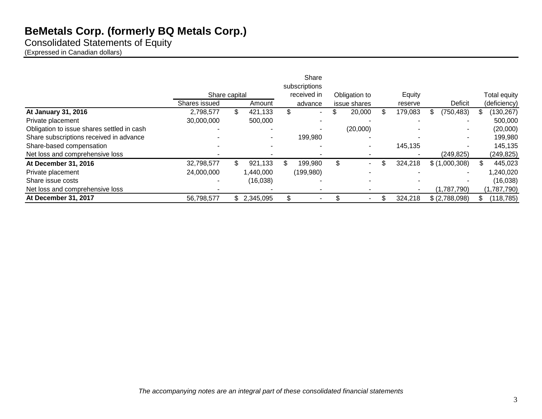Consolidated Statements of Equity

(Expressed in Canadian dollars)

|                                            |               |                          |     | Share<br>subscriptions |               |               |                  |              |
|--------------------------------------------|---------------|--------------------------|-----|------------------------|---------------|---------------|------------------|--------------|
|                                            | Share capital |                          |     | received in            | Obligation to | Equity        |                  | Total equity |
|                                            | Shares issued | Amount                   |     | advance                | issue shares  | reserve       | Deficit          | (deficiency) |
| At January 31, 2016                        | 2,798,577     | \$<br>421,133            | \$  |                        | \$<br>20,000  | \$<br>179,083 | (750, 483)<br>J. | (130, 267)   |
| Private placement                          | 30,000,000    | 500,000                  |     |                        |               |               |                  | 500,000      |
| Obligation to issue shares settled in cash |               |                          |     |                        | (20,000)      |               |                  | (20,000)     |
| Share subscriptions received in advance    |               | $\blacksquare$           |     | 199,980                |               |               |                  | 199,980      |
| Share-based compensation                   |               | $\overline{\phantom{0}}$ |     |                        | ۰             | 145,135       |                  | 145,135      |
| Net loss and comprehensive loss            |               |                          |     |                        |               |               | (249, 825)       | (249, 825)   |
| At December 31, 2016                       | 32,798,577    | 921,133                  | \$. | 199,980                | \$<br>۰       | 324,218       | \$(1,000,308)    | 445,023      |
| Private placement                          | 24,000,000    | 1,440,000                |     | (199, 980)             |               |               |                  | 1,240,020    |
| Share issue costs                          |               | (16,038)                 |     |                        |               |               |                  | (16,038)     |
| Net loss and comprehensive loss            |               |                          |     |                        |               |               | (1,787,790)      | (1,787,790)  |
| At December 31, 2017                       | 56,798,577    | \$2,345,095              | \$  |                        | $\sim$        | 324,218       | \$ (2,788,098)   | (118, 785)   |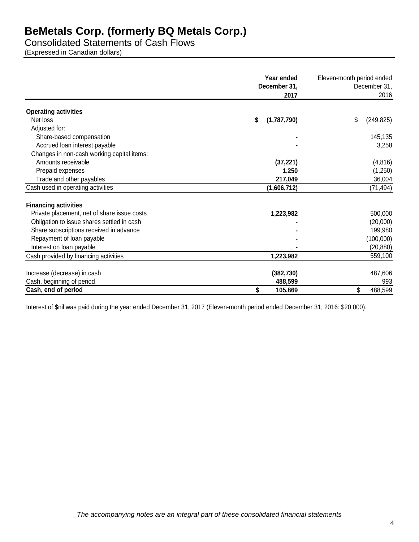Consolidated Statements of Cash Flows (Expressed in Canadian dollars)

|                                             | Year ended<br>December 31,<br>2017 | Eleven-month period ended<br>December 31,<br>2016 |  |  |
|---------------------------------------------|------------------------------------|---------------------------------------------------|--|--|
| <b>Operating activities</b>                 |                                    |                                                   |  |  |
| Net loss                                    | (1,787,790)<br>\$                  | \$<br>(249, 825)                                  |  |  |
| Adjusted for:                               |                                    |                                                   |  |  |
| Share-based compensation                    |                                    | 145,135                                           |  |  |
| Accrued loan interest payable               |                                    | 3,258                                             |  |  |
| Changes in non-cash working capital items:  |                                    |                                                   |  |  |
| Amounts receivable                          | (37, 221)                          | (4, 816)                                          |  |  |
| Prepaid expenses                            | 1,250                              | (1,250)                                           |  |  |
| Trade and other payables                    | 217,049                            | 36,004                                            |  |  |
| Cash used in operating activities           | (1,606,712)                        | (71, 494)                                         |  |  |
|                                             |                                    |                                                   |  |  |
| <b>Financing activities</b>                 |                                    |                                                   |  |  |
| Private placement, net of share issue costs | 1,223,982                          | 500,000                                           |  |  |
| Obligation to issue shares settled in cash  |                                    | (20,000)                                          |  |  |
| Share subscriptions received in advance     |                                    | 199,980                                           |  |  |
| Repayment of loan payable                   |                                    | (100,000)                                         |  |  |
| Interest on loan payable                    |                                    | (20, 880)                                         |  |  |
| Cash provided by financing activities       | 1,223,982                          | 559,100                                           |  |  |
| Increase (decrease) in cash                 | (382, 730)                         | 487,606                                           |  |  |
| Cash, beginning of period                   | 488,599                            | 993                                               |  |  |
| Cash, end of period                         | 105,869<br>\$                      | 488,599<br>\$                                     |  |  |

Interest of \$nil was paid during the year ended December 31, 2017 (Eleven-month period ended December 31, 2016: \$20,000).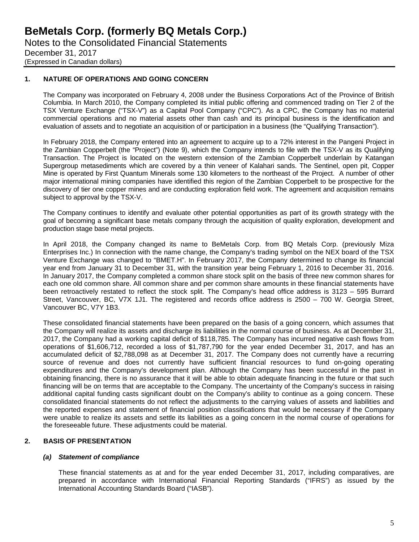## **1. NATURE OF OPERATIONS AND GOING CONCERN**

The Company was incorporated on February 4, 2008 under the Business Corporations Act of the Province of British Columbia. In March 2010, the Company completed its initial public offering and commenced trading on Tier 2 of the TSX Venture Exchange ("TSX-V") as a Capital Pool Company ("CPC"). As a CPC, the Company has no material commercial operations and no material assets other than cash and its principal business is the identification and evaluation of assets and to negotiate an acquisition of or participation in a business (the "Qualifying Transaction").

In February 2018, the Company entered into an agreement to acquire up to a 72% interest in the Pangeni Project in the Zambian Copperbelt (the "Project") (Note 9), which the Company intends to file with the TSX-V as its Qualifying Transaction. The Project is located on the western extension of the Zambian Copperbelt underlain by Katangan Supergroup metasediments which are covered by a thin veneer of Kalahari sands. The Sentinel, open pit, Copper Mine is operated by First Quantum Minerals some 130 kilometers to the northeast of the Project. A number of other major international mining companies have identified this region of the Zambian Copperbelt to be prospective for the discovery of tier one copper mines and are conducting exploration field work. The agreement and acquisition remains subject to approval by the TSX-V.

The Company continues to identify and evaluate other potential opportunities as part of its growth strategy with the goal of becoming a significant base metals company through the acquisition of quality exploration, development and production stage base metal projects.

In April 2018, the Company changed its name to BeMetals Corp. from BQ Metals Corp. (previously Miza Enterprises Inc.) In connection with the name change, the Company's trading symbol on the NEX board of the TSX Venture Exchange was changed to "BMET.H". In February 2017, the Company determined to change its financial year end from January 31 to December 31, with the transition year being February 1, 2016 to December 31, 2016. In January 2017, the Company completed a common share stock split on the basis of three new common shares for each one old common share. All common share and per common share amounts in these financial statements have been retroactively restated to reflect the stock split. The Company's head office address is 3123 – 595 Burrard Street, Vancouver, BC, V7X 1J1. The registered and records office address is 2500 – 700 W. Georgia Street, Vancouver BC, V7Y 1B3.

These consolidated financial statements have been prepared on the basis of a going concern, which assumes that the Company will realize its assets and discharge its liabilities in the normal course of business. As at December 31, 2017, the Company had a working capital deficit of \$118,785. The Company has incurred negative cash flows from operations of \$1,606,712, recorded a loss of \$1,787,790 for the year ended December 31, 2017, and has an accumulated deficit of \$2,788,098 as at December 31, 2017. The Company does not currently have a recurring source of revenue and does not currently have sufficient financial resources to fund on-going operating expenditures and the Company's development plan. Although the Company has been successful in the past in obtaining financing, there is no assurance that it will be able to obtain adequate financing in the future or that such financing will be on terms that are acceptable to the Company. The uncertainty of the Company's success in raising additional capital funding casts significant doubt on the Company's ability to continue as a going concern. These consolidated financial statements do not reflect the adjustments to the carrying values of assets and liabilities and the reported expenses and statement of financial position classifications that would be necessary if the Company were unable to realize its assets and settle its liabilities as a going concern in the normal course of operations for the foreseeable future. These adjustments could be material.

## **2. BASIS OF PRESENTATION**

## *(a) Statement of compliance*

These financial statements as at and for the year ended December 31, 2017, including comparatives, are prepared in accordance with International Financial Reporting Standards ("IFRS") as issued by the International Accounting Standards Board ("IASB").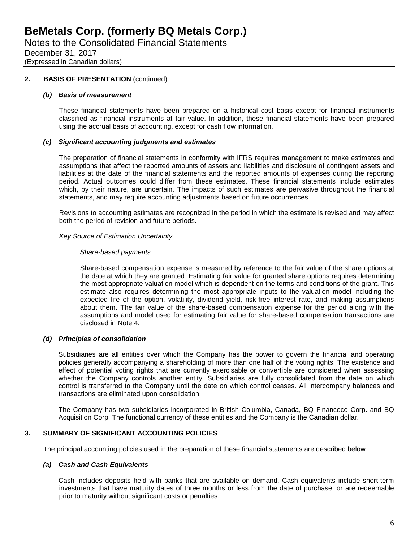## **2. BASIS OF PRESENTATION** (continued)

#### *(b) Basis of measurement*

These financial statements have been prepared on a historical cost basis except for financial instruments classified as financial instruments at fair value. In addition, these financial statements have been prepared using the accrual basis of accounting, except for cash flow information.

#### *(c) Significant accounting judgments and estimates*

The preparation of financial statements in conformity with IFRS requires management to make estimates and assumptions that affect the reported amounts of assets and liabilities and disclosure of contingent assets and liabilities at the date of the financial statements and the reported amounts of expenses during the reporting period. Actual outcomes could differ from these estimates. These financial statements include estimates which, by their nature, are uncertain. The impacts of such estimates are pervasive throughout the financial statements, and may require accounting adjustments based on future occurrences.

Revisions to accounting estimates are recognized in the period in which the estimate is revised and may affect both the period of revision and future periods.

#### *Key Source of Estimation Uncertainty*

#### *Share-based payments*

Share-based compensation expense is measured by reference to the fair value of the share options at the date at which they are granted. Estimating fair value for granted share options requires determining the most appropriate valuation model which is dependent on the terms and conditions of the grant. This estimate also requires determining the most appropriate inputs to the valuation model including the expected life of the option, volatility, dividend yield, risk-free interest rate, and making assumptions about them. The fair value of the share-based compensation expense for the period along with the assumptions and model used for estimating fair value for share-based compensation transactions are disclosed in Note 4.

## *(d) Principles of consolidation*

Subsidiaries are all entities over which the Company has the power to govern the financial and operating policies generally accompanying a shareholding of more than one half of the voting rights. The existence and effect of potential voting rights that are currently exercisable or convertible are considered when assessing whether the Company controls another entity. Subsidiaries are fully consolidated from the date on which control is transferred to the Company until the date on which control ceases. All intercompany balances and transactions are eliminated upon consolidation.

The Company has two subsidiaries incorporated in British Columbia, Canada, BQ Financeco Corp. and BQ Acquisition Corp. The functional currency of these entities and the Company is the Canadian dollar.

## **3. SUMMARY OF SIGNIFICANT ACCOUNTING POLICIES**

The principal accounting policies used in the preparation of these financial statements are described below:

## *(a) Cash and Cash Equivalents*

Cash includes deposits held with banks that are available on demand. Cash equivalents include short-term investments that have maturity dates of three months or less from the date of purchase, or are redeemable prior to maturity without significant costs or penalties.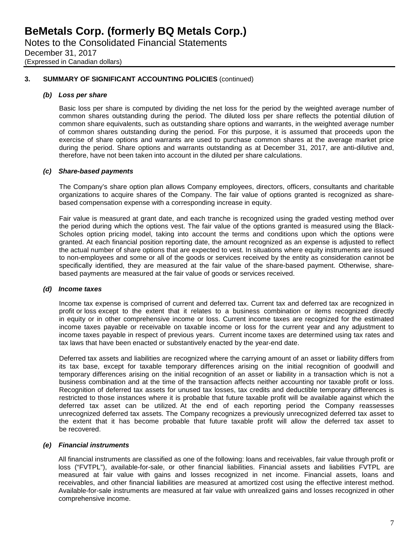## **3. SUMMARY OF SIGNIFICANT ACCOUNTING POLICIES** (continued)

#### *(b) Loss per share*

Basic loss per share is computed by dividing the net loss for the period by the weighted average number of common shares outstanding during the period. The diluted loss per share reflects the potential dilution of common share equivalents, such as outstanding share options and warrants, in the weighted average number of common shares outstanding during the period. For this purpose, it is assumed that proceeds upon the exercise of share options and warrants are used to purchase common shares at the average market price during the period. Share options and warrants outstanding as at December 31, 2017, are anti-dilutive and, therefore, have not been taken into account in the diluted per share calculations.

#### *(c) Share-based payments*

The Company's share option plan allows Company employees, directors, officers, consultants and charitable organizations to acquire shares of the Company. The fair value of options granted is recognized as sharebased compensation expense with a corresponding increase in equity.

Fair value is measured at grant date, and each tranche is recognized using the graded vesting method over the period during which the options vest. The fair value of the options granted is measured using the Black-Scholes option pricing model, taking into account the terms and conditions upon which the options were granted. At each financial position reporting date, the amount recognized as an expense is adjusted to reflect the actual number of share options that are expected to vest. In situations where equity instruments are issued to non-employees and some or all of the goods or services received by the entity as consideration cannot be specifically identified, they are measured at the fair value of the share-based payment. Otherwise, sharebased payments are measured at the fair value of goods or services received.

#### *(d) Income taxes*

Income tax expense is comprised of current and deferred tax. Current tax and deferred tax are recognized in profit or loss except to the extent that it relates to a business combination or items recognized directly in equity or in other comprehensive income or loss. Current income taxes are recognized for the estimated income taxes payable or receivable on taxable income or loss for the current year and any adjustment to income taxes payable in respect of previous years. Current income taxes are determined using tax rates and tax laws that have been enacted or substantively enacted by the year-end date.

Deferred tax assets and liabilities are recognized where the carrying amount of an asset or liability differs from its tax base, except for taxable temporary differences arising on the initial recognition of goodwill and temporary differences arising on the initial recognition of an asset or liability in a transaction which is not a business combination and at the time of the transaction affects neither accounting nor taxable profit or loss. Recognition of deferred tax assets for unused tax losses, tax credits and deductible temporary differences is restricted to those instances where it is probable that future taxable profit will be available against which the deferred tax asset can be utilized. At the end of each reporting period the Company reassesses unrecognized deferred tax assets. The Company recognizes a previously unrecognized deferred tax asset to the extent that it has become probable that future taxable profit will allow the deferred tax asset to be recovered.

## *(e) Financial instruments*

All financial instruments are classified as one of the following: loans and receivables, fair value through profit or loss ("FVTPL"), available-for-sale, or other financial liabilities. Financial assets and liabilities FVTPL are measured at fair value with gains and losses recognized in net income. Financial assets, loans and receivables, and other financial liabilities are measured at amortized cost using the effective interest method. Available-for-sale instruments are measured at fair value with unrealized gains and losses recognized in other comprehensive income.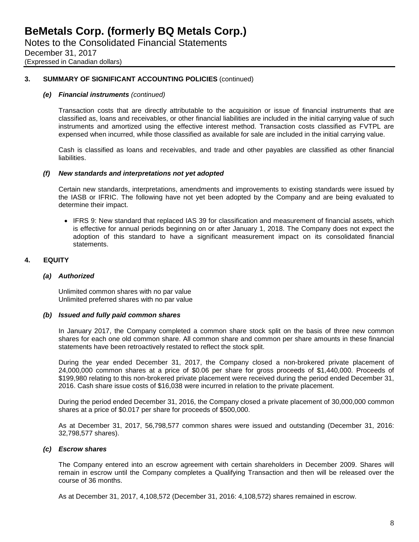## **3. SUMMARY OF SIGNIFICANT ACCOUNTING POLICIES** (continued)

#### *(e) Financial instruments (continued)*

Transaction costs that are directly attributable to the acquisition or issue of financial instruments that are classified as, loans and receivables, or other financial liabilities are included in the initial carrying value of such instruments and amortized using the effective interest method. Transaction costs classified as FVTPL are expensed when incurred, while those classified as available for sale are included in the initial carrying value.

Cash is classified as loans and receivables, and trade and other payables are classified as other financial liabilities.

#### *(f) New standards and interpretations not yet adopted*

Certain new standards, interpretations, amendments and improvements to existing standards were issued by the IASB or IFRIC. The following have not yet been adopted by the Company and are being evaluated to determine their impact.

• IFRS 9: New standard that replaced IAS 39 for classification and measurement of financial assets, which is effective for annual periods beginning on or after January 1, 2018. The Company does not expect the adoption of this standard to have a significant measurement impact on its consolidated financial statements.

## **4. EQUITY**

#### *(a) Authorized*

Unlimited common shares with no par value Unlimited preferred shares with no par value

#### *(b) Issued and fully paid common shares*

In January 2017, the Company completed a common share stock split on the basis of three new common shares for each one old common share. All common share and common per share amounts in these financial statements have been retroactively restated to reflect the stock split.

During the year ended December 31, 2017, the Company closed a non-brokered private placement of 24,000,000 common shares at a price of \$0.06 per share for gross proceeds of \$1,440,000. Proceeds of \$199,980 relating to this non-brokered private placement were received during the period ended December 31, 2016. Cash share issue costs of \$16,038 were incurred in relation to the private placement.

During the period ended December 31, 2016, the Company closed a private placement of 30,000,000 common shares at a price of \$0.017 per share for proceeds of \$500,000.

As at December 31, 2017, 56,798,577 common shares were issued and outstanding (December 31, 2016: 32,798,577 shares).

#### *(c) Escrow shares*

The Company entered into an escrow agreement with certain shareholders in December 2009. Shares will remain in escrow until the Company completes a Qualifying Transaction and then will be released over the course of 36 months.

As at December 31, 2017, 4,108,572 (December 31, 2016: 4,108,572) shares remained in escrow.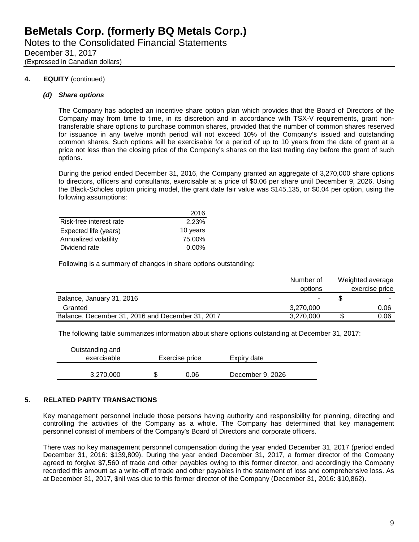(Expressed in Canadian dollars)

## **4. EQUITY** (continued)

## *(d) Share options*

The Company has adopted an incentive share option plan which provides that the Board of Directors of the Company may from time to time, in its discretion and in accordance with TSX-V requirements, grant nontransferable share options to purchase common shares, provided that the number of common shares reserved for issuance in any twelve month period will not exceed 10% of the Company's issued and outstanding common shares. Such options will be exercisable for a period of up to 10 years from the date of grant at a price not less than the closing price of the Company's shares on the last trading day before the grant of such options.

During the period ended December 31, 2016, the Company granted an aggregate of 3,270,000 share options to directors, officers and consultants, exercisable at a price of \$0.06 per share until December 9, 2026. Using the Black-Scholes option pricing model, the grant date fair value was \$145,135, or \$0.04 per option, using the following assumptions:

|                         | 2016     |
|-------------------------|----------|
| Risk-free interest rate | 2.23%    |
| Expected life (years)   | 10 years |
| Annualized volatility   | 75.00%   |
| Dividend rate           | $0.00\%$ |

Following is a summary of changes in share options outstanding:

|                                                  | Number of | Weighted average |
|--------------------------------------------------|-----------|------------------|
|                                                  | options   | exercise price   |
| Balance, January 31, 2016                        |           |                  |
| Granted                                          | 3.270.000 | 0.06             |
| Balance, December 31, 2016 and December 31, 2017 | 3,270,000 | 0.06             |

The following table summarizes information about share options outstanding at December 31, 2017:

| Outstanding and<br>exercisable | Exercise price | Expiry date      |  |
|--------------------------------|----------------|------------------|--|
| 3,270,000                      | 0.06           | December 9, 2026 |  |

## **5. RELATED PARTY TRANSACTIONS**

Key management personnel include those persons having authority and responsibility for planning, directing and controlling the activities of the Company as a whole. The Company has determined that key management personnel consist of members of the Company's Board of Directors and corporate officers.

There was no key management personnel compensation during the year ended December 31, 2017 (period ended December 31, 2016: \$139,809). During the year ended December 31, 2017, a former director of the Company agreed to forgive \$7,560 of trade and other payables owing to this former director, and accordingly the Company recorded this amount as a write-off of trade and other payables in the statement of loss and comprehensive loss. As at December 31, 2017, \$nil was due to this former director of the Company (December 31, 2016: \$10,862).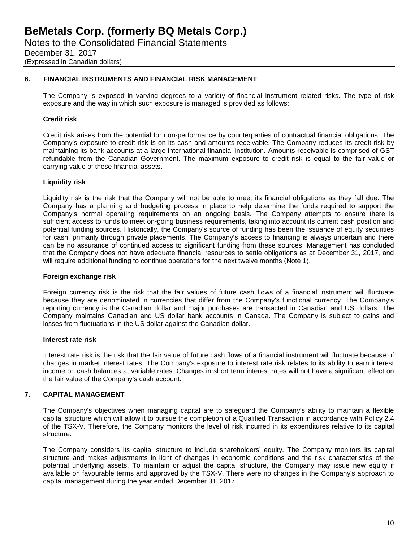## **6. FINANCIAL INSTRUMENTS AND FINANCIAL RISK MANAGEMENT**

The Company is exposed in varying degrees to a variety of financial instrument related risks. The type of risk exposure and the way in which such exposure is managed is provided as follows:

## **Credit risk**

Credit risk arises from the potential for non-performance by counterparties of contractual financial obligations. The Company's exposure to credit risk is on its cash and amounts receivable. The Company reduces its credit risk by maintaining its bank accounts at a large international financial institution. Amounts receivable is comprised of GST refundable from the Canadian Government. The maximum exposure to credit risk is equal to the fair value or carrying value of these financial assets.

## **Liquidity risk**

Liquidity risk is the risk that the Company will not be able to meet its financial obligations as they fall due. The Company has a planning and budgeting process in place to help determine the funds required to support the Company's normal operating requirements on an ongoing basis. The Company attempts to ensure there is sufficient access to funds to meet on-going business requirements, taking into account its current cash position and potential funding sources. Historically, the Company's source of funding has been the issuance of equity securities for cash, primarily through private placements. The Company's access to financing is always uncertain and there can be no assurance of continued access to significant funding from these sources. Management has concluded that the Company does not have adequate financial resources to settle obligations as at December 31, 2017, and will require additional funding to continue operations for the next twelve months (Note 1).

## **Foreign exchange risk**

Foreign currency risk is the risk that the fair values of future cash flows of a financial instrument will fluctuate because they are denominated in currencies that differ from the Company's functional currency. The Company's reporting currency is the Canadian dollar and major purchases are transacted in Canadian and US dollars. The Company maintains Canadian and US dollar bank accounts in Canada. The Company is subject to gains and losses from fluctuations in the US dollar against the Canadian dollar.

## **Interest rate risk**

Interest rate risk is the risk that the fair value of future cash flows of a financial instrument will fluctuate because of changes in market interest rates. The Company's exposure to interest rate risk relates to its ability to earn interest income on cash balances at variable rates. Changes in short term interest rates will not have a significant effect on the fair value of the Company's cash account.

## **7. CAPITAL MANAGEMENT**

The Company's objectives when managing capital are to safeguard the Company's ability to maintain a flexible capital structure which will allow it to pursue the completion of a Qualified Transaction in accordance with Policy 2.4 of the TSX-V. Therefore, the Company monitors the level of risk incurred in its expenditures relative to its capital structure.

The Company considers its capital structure to include shareholders' equity. The Company monitors its capital structure and makes adjustments in light of changes in economic conditions and the risk characteristics of the potential underlying assets. To maintain or adjust the capital structure, the Company may issue new equity if available on favourable terms and approved by the TSX-V. There were no changes in the Company's approach to capital management during the year ended December 31, 2017.